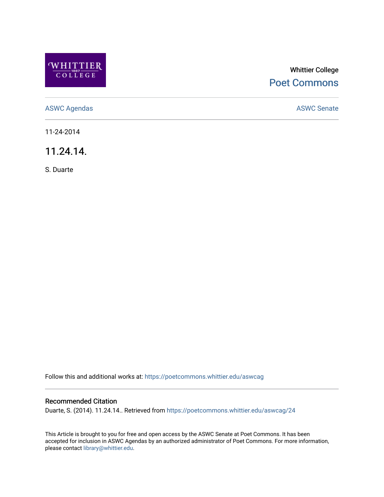

## Whittier College [Poet Commons](https://poetcommons.whittier.edu/)

[ASWC Agendas](https://poetcommons.whittier.edu/aswcag) **ASWC Senate** 

11-24-2014

11.24.14.

S. Duarte

Follow this and additional works at: [https://poetcommons.whittier.edu/aswcag](https://poetcommons.whittier.edu/aswcag?utm_source=poetcommons.whittier.edu%2Faswcag%2F24&utm_medium=PDF&utm_campaign=PDFCoverPages) 

## Recommended Citation

Duarte, S. (2014). 11.24.14.. Retrieved from [https://poetcommons.whittier.edu/aswcag/24](https://poetcommons.whittier.edu/aswcag/24?utm_source=poetcommons.whittier.edu%2Faswcag%2F24&utm_medium=PDF&utm_campaign=PDFCoverPages)

This Article is brought to you for free and open access by the ASWC Senate at Poet Commons. It has been accepted for inclusion in ASWC Agendas by an authorized administrator of Poet Commons. For more information, please contact [library@whittier.edu](mailto:library@whittier.edu).